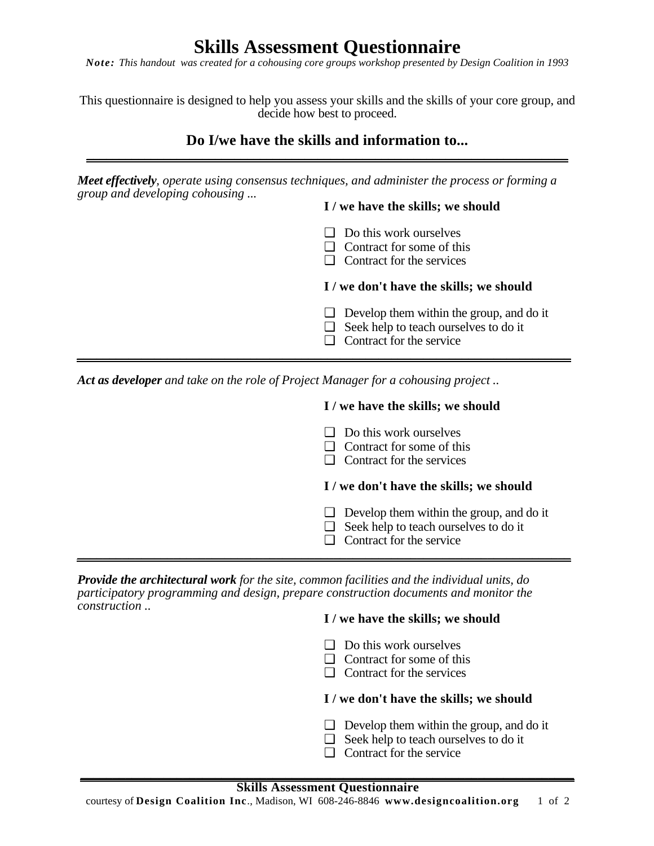# **Skills Assessment Questionnaire**

*Note: This handout was created for a cohousing core groups workshop presented by Design Coalition in 1993*

This questionnaire is designed to help you assess your skills and the skills of your core group, and decide how best to proceed.

## **Do I/we have the skills and information to...** \_\_\_\_\_\_\_\_\_\_\_\_\_\_\_\_\_\_\_\_\_\_\_\_\_\_\_\_\_\_\_\_\_\_\_\_\_\_\_\_\_\_\_\_\_\_\_\_\_\_\_\_\_\_\_\_\_\_\_\_\_\_\_\_\_\_\_\_\_\_\_\_\_\_\_

*Meet effectively, operate using consensus techniques, and administer the process or forming a group and developing cohousing ...*

\_\_\_\_\_\_\_\_\_\_\_\_\_\_\_\_\_\_\_\_\_\_\_\_\_\_\_\_\_\_\_\_\_\_\_\_\_\_\_\_\_\_\_\_\_\_\_\_\_\_\_\_\_\_\_\_\_\_\_\_\_\_\_\_\_\_\_\_\_\_\_\_\_\_\_\_\_

## **I / we have the skills; we should**

- ❑ Do this work ourselves
- ❑ Contract for some of this
- ❑ Contract for the services

## **I / we don't have the skills; we should**

- $\Box$  Develop them within the group, and do it
- ❑ Seek help to teach ourselves to do it
- ❑ Contract for the service

*Act as developer and take on the role of Project Manager for a cohousing project ..* 

## **I / we have the skills; we should**

- ❑ Do this work ourselves
- ❑ Contract for some of this
- ❑ Contract for the services

## **I / we don't have the skills; we should**

- $\Box$  Develop them within the group, and do it
- ❑ Seek help to teach ourselves to do it
- ❑ Contract for the service \_\_\_\_\_\_\_\_\_\_\_\_\_\_\_\_\_\_\_\_\_\_\_\_\_\_\_\_\_\_\_\_\_\_\_\_\_\_\_\_\_\_\_\_\_\_\_\_\_\_\_\_\_\_\_\_\_\_\_\_\_\_\_\_\_\_\_\_\_\_\_\_\_\_\_\_\_

*Provide the architectural work for the site, common facilities and the individual units, do participatory programming and design, prepare construction documents and monitor the construction ..* 

## **I / we have the skills; we should**

- ❑ Do this work ourselves
- ❑ Contract for some of this
- ❑ Contract for the services

## **I / we don't have the skills; we should**

- $\Box$  Develop them within the group, and do it
- ❑ Seek help to teach ourselves to do it
- ❑ Contract for the service

**\_\_\_\_\_\_\_\_\_\_\_\_\_\_\_\_\_\_\_\_\_\_\_\_\_\_\_\_\_\_\_\_\_\_\_\_\_\_\_\_\_\_\_\_\_\_\_\_\_\_\_\_\_\_\_\_\_\_\_\_\_\_\_\_\_\_\_\_\_\_\_\_\_\_\_\_\_**